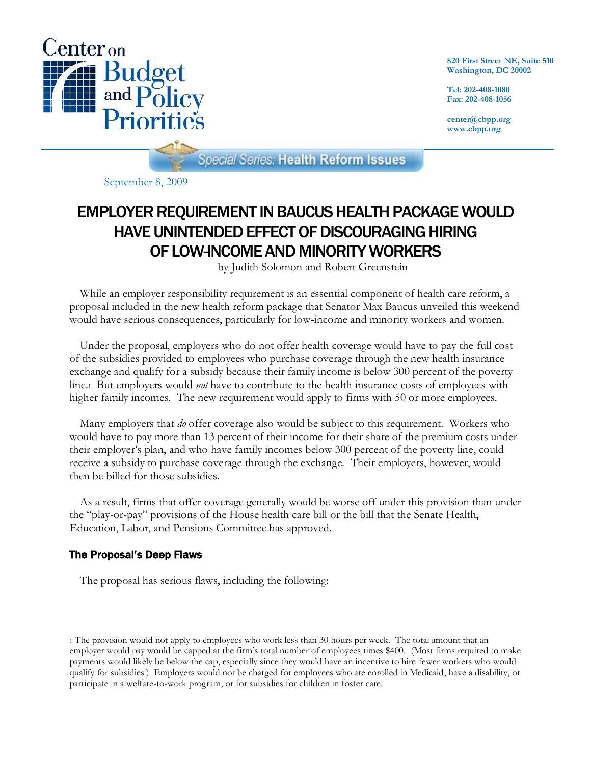

**820 First Street NE, Suite 510 Washington, DC 20002**

**Tel: 202-408-1080 Fax: 202-408-1056**

**center@cbpp.org www.cbpp.org**

**Special Series: Health Reform Issues** 

September 8, 2009

# EMPLOYER REQUIREMENT IN BAUCUS HEALTH PACKAGE WOULD HAVE UNINTENDED EFFECT OF DISCOURAGING HIRING OF LOW-INCOME AND MINORITY WORKERS

by Judith Solomon and Robert Greenstein

While an employer responsibility requirement is an essential component of health care reform, a proposal included in the new health reform package that Senator Max Baucus unveiled this weekend would have serious consequences, particularly for low-income and minority workers and women.

Under the proposal, employers who do not offer health coverage would have to pay the full cost of the subsidies provided to employees who purchase coverage through the new health insurance exchange and qualify for a subsidy because their family income is below 300 percent of the poverty line.1 But employers would *not* have to contribute to the health insurance costs of employees with higher family incomes. The new requirement would apply to firms with 50 or more employees.

Many employers that *do* offer coverage also would be subject to this requirement. Workers who would have to pay more than 13 percent of their income for their share of the premium costs under their employer's plan, and who have family incomes below 300 percent of the poverty line, could receive a subsidy to purchase coverage through the exchange. Their employers, however, would then be billed for those subsidies.

As a result, firms that offer coverage generally would be worse off under this provision than under the "play-or-pay" provisions of the House health care bill or the bill that the Senate Health, Education, Labor, and Pensions Committee has approved.

## The Proposal's Deep Flaws

The proposal has serious flaws, including the following:

<sup>1</sup> The provision would not apply to employees who work less than 30 hours per week. The total amount that an employer would pay would be capped at the firm's total number of employees times \$400. (Most firms required to make payments would likely be below the cap, especially since they would have an incentive to hire fewer workers who would qualify for subsidies.) Employers would not be charged for employees who are enrolled in Medicaid, have a disability, or participate in a welfare-to-work program, or for subsidies for children in foster care.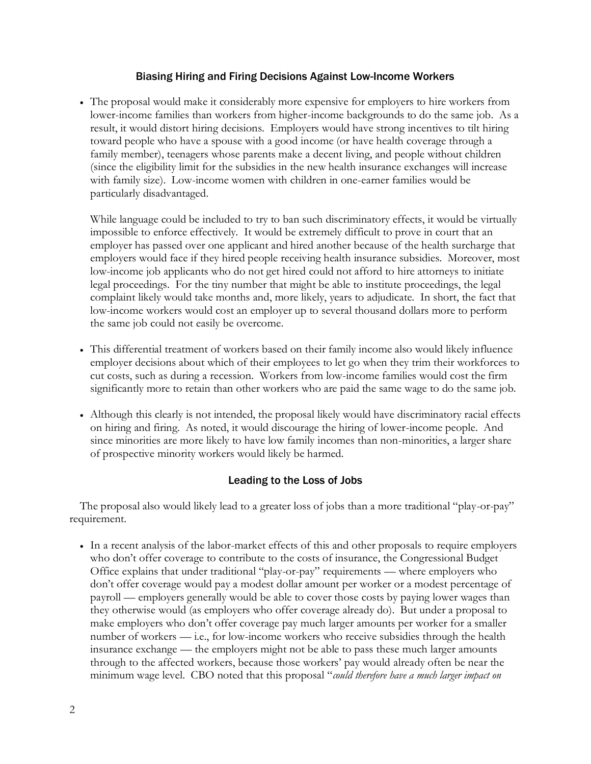#### Biasing Hiring and Firing Decisions Against Low-Income Workers

• The proposal would make it considerably more expensive for employers to hire workers from lower-income families than workers from higher-income backgrounds to do the same job. As a result, it would distort hiring decisions. Employers would have strong incentives to tilt hiring toward people who have a spouse with a good income (or have health coverage through a family member), teenagers whose parents make a decent living, and people without children (since the eligibility limit for the subsidies in the new health insurance exchanges will increase with family size). Low-income women with children in one-earner families would be particularly disadvantaged.

While language could be included to try to ban such discriminatory effects, it would be virtually impossible to enforce effectively. It would be extremely difficult to prove in court that an employer has passed over one applicant and hired another because of the health surcharge that employers would face if they hired people receiving health insurance subsidies. Moreover, most low-income job applicants who do not get hired could not afford to hire attorneys to initiate legal proceedings. For the tiny number that might be able to institute proceedings, the legal complaint likely would take months and, more likely, years to adjudicate. In short, the fact that low-income workers would cost an employer up to several thousand dollars more to perform the same job could not easily be overcome.

- This differential treatment of workers based on their family income also would likely influence employer decisions about which of their employees to let go when they trim their workforces to cut costs, such as during a recession. Workers from low-income families would cost the firm significantly more to retain than other workers who are paid the same wage to do the same job.
- Although this clearly is not intended, the proposal likely would have discriminatory racial effects on hiring and firing. As noted, it would discourage the hiring of lower-income people. And since minorities are more likely to have low family incomes than non-minorities, a larger share of prospective minority workers would likely be harmed.

### Leading to the Loss of Jobs

The proposal also would likely lead to a greater loss of jobs than a more traditional "play-or-pay" requirement.

• In a recent analysis of the labor-market effects of this and other proposals to require employers who don't offer coverage to contribute to the costs of insurance, the Congressional Budget Office explains that under traditional "play-or-pay" requirements — where employers who don't offer coverage would pay a modest dollar amount per worker or a modest percentage of payroll — employers generally would be able to cover those costs by paying lower wages than they otherwise would (as employers who offer coverage already do). But under a proposal to make employers who don't offer coverage pay much larger amounts per worker for a smaller number of workers — i.e., for low-income workers who receive subsidies through the health insurance exchange — the employers might not be able to pass these much larger amounts through to the affected workers, because those workers' pay would already often be near the minimum wage level. CBO noted that this proposal "*could therefore have a much larger impact on*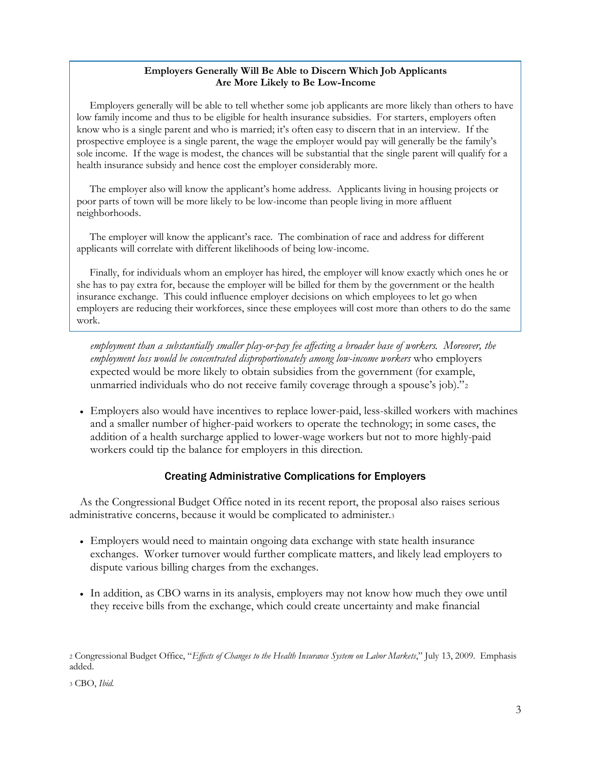#### **Employers Generally Will Be Able to Discern Which Job Applicants Are More Likely to Be Low-Income**

Employers generally will be able to tell whether some job applicants are more likely than others to have low family income and thus to be eligible for health insurance subsidies. For starters, employers often know who is a single parent and who is married; it's often easy to discern that in an interview. If the prospective employee is a single parent, the wage the employer would pay will generally be the family's sole income. If the wage is modest, the chances will be substantial that the single parent will qualify for a health insurance subsidy and hence cost the employer considerably more.

The employer also will know the applicant's home address. Applicants living in housing projects or poor parts of town will be more likely to be low-income than people living in more affluent neighborhoods.

The employer will know the applicant's race. The combination of race and address for different applicants will correlate with different likelihoods of being low-income.

Finally, for individuals whom an employer has hired, the employer will know exactly which ones he or she has to pay extra for, because the employer will be billed for them by the government or the health insurance exchange. This could influence employer decisions on which employees to let go when employers are reducing their workforces, since these employees will cost more than others to do the same work.

*employment than a substantially smaller play-or-pay fee affecting a broader base of workers. Moreover, the employment loss would be concentrated disproportionately among low-income workers* who employers expected would be more likely to obtain subsidies from the government (for example, unmarried individuals who do not receive family coverage through a spouse's job)."<sup>2</sup>

• Employers also would have incentives to replace lower-paid, less-skilled workers with machines and a smaller number of higher-paid workers to operate the technology; in some cases, the addition of a health surcharge applied to lower-wage workers but not to more highly-paid workers could tip the balance for employers in this direction.

## Creating Administrative Complications for Employers

As the Congressional Budget Office noted in its recent report, the proposal also raises serious administrative concerns, because it would be complicated to administer.<sup>3</sup>

- Employers would need to maintain ongoing data exchange with state health insurance exchanges. Worker turnover would further complicate matters, and likely lead employers to dispute various billing charges from the exchanges.
- In addition, as CBO warns in its analysis, employers may not know how much they owe until they receive bills from the exchange, which could create uncertainty and make financial

<sup>3</sup> CBO, *Ibid.*

<sup>2</sup> Congressional Budget Office, "*Effects of Changes to the Health Insurance System on Labor Markets*," July 13, 2009. Emphasis added.